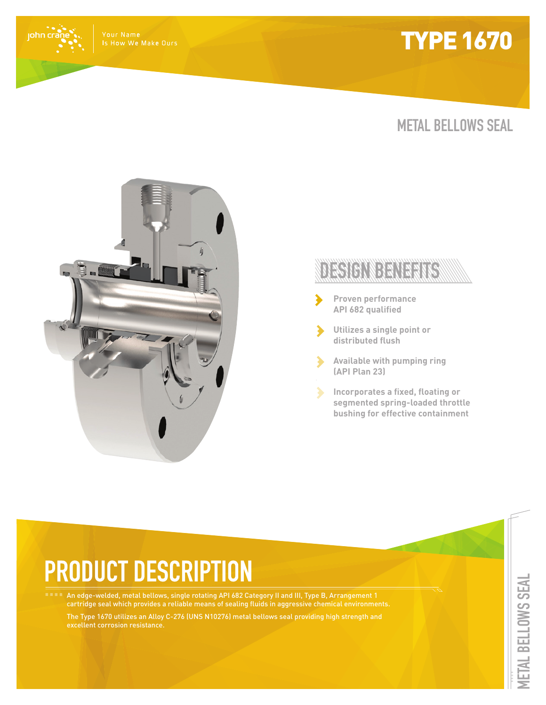## **TYPE 1670**

john crá

### **METAL BELLOWS SEAL**



### DECICINDENTE

- **Proven performance API 682 qualified**
- **Utilizes a single point or**  ⋗ **distributed flush**
	- **Available with pumping ring (API Plan 23)**
	- **Incorporates a fixed, floating or segmented spring-loaded throttle bushing for effective containment**

# **PRODUCT DESCRIPTION**

An edge-welded, metal bellows, single rotating API 682 Category II and III, Type B, Arrangement 1 cartridge seal which provides a reliable means of sealing fluids in aggressive chemical environments.

The Type 1670 utilizes an Alloy C-276 (UNS N10276) metal bellows seal providing high strength and excellent corrosion resistance.